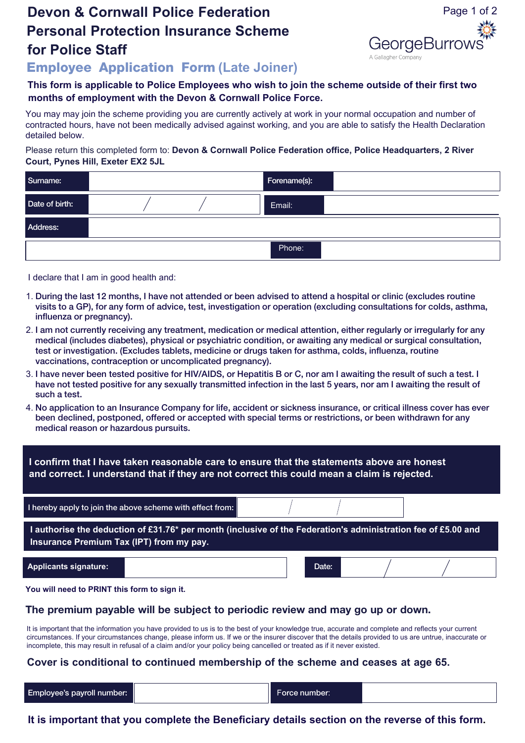# **Devon & Cornwall Police Federation Personal Protection Insurance Scheme for Police Staff**



**Employee Application Form (Late Joiner)**

#### **This form is applicable to Police Employees who wish to join the scheme outside of their first two months of employment with the Devon & Cornwall Police Force.**

You may may join the scheme providing you are currently actively at work in your normal occupation and number of contracted hours, have not been medically advised against working, and you are able to satisfy the Health Declaration detailed below.

#### Please return this completed form to: **Devon & Cornwall Police Federation office, Police Headquarters, 2 River Court, Pynes Hill, Exeter EX2 5JL**

| Surname:       |  | Forename(s): |  |
|----------------|--|--------------|--|
| Date of birth: |  | Email:       |  |
| Address:       |  |              |  |
|                |  | Phone:       |  |

I declare that I am in good health and:

- 1. During the last 12 months, I have not attended or been advised to attend a hospital or clinic (excludes routine visits to a GP), for any form of advice, test, investigation or operation (excluding consultations for colds, asthma, influenza or pregnancy).
- 2. I am not currently receiving any treatment, medication or medical attention, either regularly or irregularly for any medical (includes diabetes), physical or psychiatric condition, or awaiting any medical or surgical consultation, test or investigation. (Excludes tablets, medicine or drugs taken for asthma, colds, influenza, routine vaccinations, contraception or uncomplicated pregnancy).
- 3. I have never been tested positive for HIV/AIDS, or Hepatitis B or C, nor am I awaiting the result of such a test. I have not tested positive for any sexually transmitted infection in the last 5 years, nor am I awaiting the result of such a test.
- 4. No application to an Insurance Company for life, accident or sickness insurance, or critical illness cover has ever been declined, postponed, offered or accepted with special terms or restrictions, or been withdrawn for any medical reason or hazardous pursuits.

| I confirm that I have taken reasonable care to ensure that the statements above are honest<br>and correct. I understand that if they are not correct this could mean a claim is rejected. |                                                           |  |       |  |  |  |
|-------------------------------------------------------------------------------------------------------------------------------------------------------------------------------------------|-----------------------------------------------------------|--|-------|--|--|--|
|                                                                                                                                                                                           | I hereby apply to join the above scheme with effect from: |  |       |  |  |  |
| I authorise the deduction of £31.76* per month (inclusive of the Federation's administration fee of £5.00 and<br>Insurance Premium Tax (IPT) from my pay.                                 |                                                           |  |       |  |  |  |
| <b>Applicants signature:</b>                                                                                                                                                              |                                                           |  | Date: |  |  |  |

**You will need to PRINT this form to sign it.**

## **The premium payable will be subject to periodic review and may go up or down.**

It is important that the information you have provided to us is to the best of your knowledge true, accurate and complete and reflects your current circumstances. If your circumstances change, please inform us. If we or the insurer discover that the details provided to us are untrue, inaccurate or incomplete, this may result in refusal of a claim and/or your policy being cancelled or treated as if it never existed.

## **Cover is conditional to continued membership of the scheme and ceases at age 65.**

Employee's payroll number: Force number:

**It is important that you complete the Beneficiary details section on the reverse of this form.**